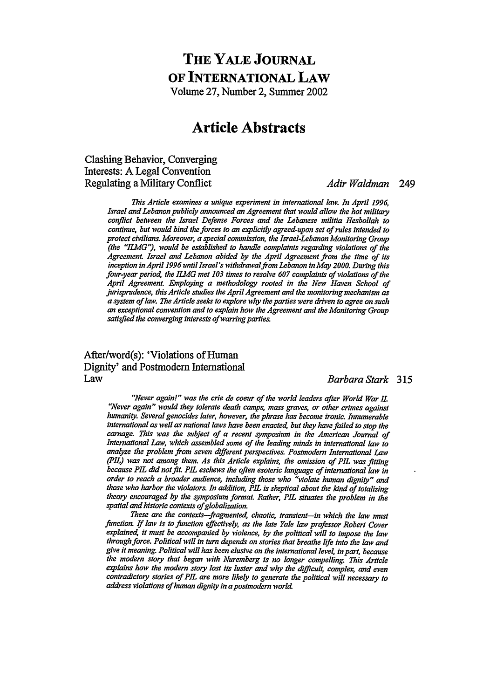## **THE YALE JoURNAL OF INTERNATIONAL LAW** Volume **27,** Number 2, Summer 2002

# **Article Abstracts**

### Clashing Behavior, Converging Interests: **A** Legal Convention Regulating a Military Conflict *Adir Waldman* 249

*This Article examines a unique experiment in international law. In April 1996, Israel and Lebanon publicly announced an Agreement that would allow the hot military conflict between the Israel Defense Forces and the Lebanese militia Hesbollah to continue, but would bind the forces to an explicitly agreed-upon set of rules intended to protect civilians. Moreover, a special commission, the Israel-Lebanon Monitoring Group (the "ILMG"), would be established to hanae complaints regarding violations of the Agreement Israel and Lebanon abided by the April Agreement from the time of its inception in April 1996 until Israel's withdrawalfrom Lebanon in May 2000. During this four-year period, the ILMG met 103 times to resolve 607 complaints of violations of the April Agreement. Employing a methodology rooted in the New Haven School of jurisprudence, this Article studies the April Agreement and the monitoring mechanism as a system of law. The Article seeks to exlore why the parties were driven to agree on such an exceptional convention and to explain how the Agreement and the Monitoring Group satisfied the converging interests of warring parties.*

# After/word(s): 'Violations of Human Dignity' and Postmodem International

#### Law *Barbara Stark* 315

"Never again!" was the crie de coeur of the world leaders after World War II. *"Never again" would they tolerate death camps, mass graves, or other crimes against humanity. Several genocides later, however, the phrase has become ironic. Innumerable international as well as national laws have been enactea, but they have failed to stop the carnage. This was the subject of a recent symposium in the American Journal of International Law, which assembled some of the leading minds in international law to analyze the problem from seven different perspectives. Postmodern International Law (PIL) was not among them. As this Article explains, the omission of PIL was fitting because PIL did not fit PIL eschews the often esoteric language of international law in order to reach a broader audience, including those who "violate human dignity" and those who harbor the violators. In addition, PIL is skeptical about the kind of totalizing theory encouraged by the symposium format. Rather, PIL situates the problem in the* spatial and historic contexts of globalization.

These are the contexts-fragmented, chaotic, transient-in which the law must *function If law is to function effectively, as the late Yale law professor Robert Cover explained it must be accompanied by violence, by the political will to impose the law through force. Political will in turn depends on stories that breathe life into the law and* give it meaning. Political will has been elusive on the international level, in part, because *the modern story that began with Nuremberg is no longer compelling. This Article explains how the modern story lost its luster and why the difficult, complex; and even contradictory stories of PIL are more likely to generate the political will necessary to address violations of human dignity in a postmodern world*